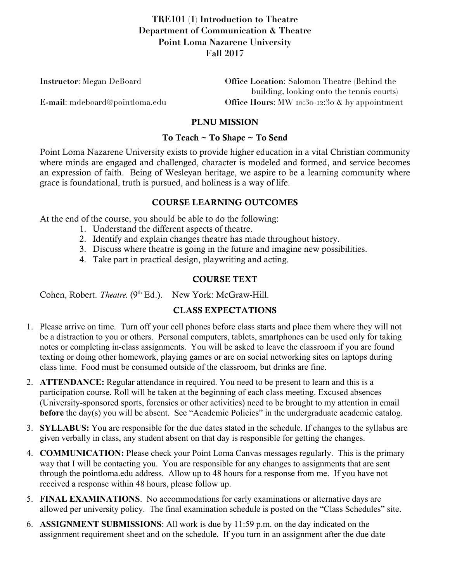# **TRE101 (1) Introduction to Theatre Department of Communication & Theatre Point Loma Nazarene University Fall 2017**

| <b>Instructor:</b> Megan DeBoard | <b>Office Location:</b> Salomon Theatre (Behind the |
|----------------------------------|-----------------------------------------------------|
|                                  | building, looking onto the tennis courts)           |
| E-mail: mdeboard@pointloma.edu   | Office Hours: MW 10:30-12:30 $\&$ by appointment    |

## PLNU MISSION

#### To Teach ~ To Shape ~ To Send

Point Loma Nazarene University exists to provide higher education in a vital Christian community where minds are engaged and challenged, character is modeled and formed, and service becomes an expression of faith. Being of Wesleyan heritage, we aspire to be a learning community where grace is foundational, truth is pursued, and holiness is a way of life.

## COURSE LEARNING OUTCOMES

At the end of the course, you should be able to do the following:

- 1. Understand the different aspects of theatre.
- 2. Identify and explain changes theatre has made throughout history.
- 3. Discuss where theatre is going in the future and imagine new possibilities.
- 4. Take part in practical design, playwriting and acting.

## COURSE TEXT

Cohen, Robert. *Theatre.* (9<sup>th</sup> Ed.). New York: McGraw-Hill.

## CLASS EXPECTATIONS

- 1. Please arrive on time. Turn off your cell phones before class starts and place them where they will not be a distraction to you or others. Personal computers, tablets, smartphones can be used only for taking notes or completing in-class assignments. You will be asked to leave the classroom if you are found texting or doing other homework, playing games or are on social networking sites on laptops during class time. Food must be consumed outside of the classroom, but drinks are fine.
- 2. **ATTENDANCE:** Regular attendance in required. You need to be present to learn and this is a participation course. Roll will be taken at the beginning of each class meeting. Excused absences (University-sponsored sports, forensics or other activities) need to be brought to my attention in email **before** the day(s) you will be absent. See "Academic Policies" in the undergraduate academic catalog.
- 3. **SYLLABUS:** You are responsible for the due dates stated in the schedule. If changes to the syllabus are given verbally in class, any student absent on that day is responsible for getting the changes.
- 4. **COMMUNICATION:** Please check your Point Loma Canvas messages regularly. This is the primary way that I will be contacting you. You are responsible for any changes to assignments that are sent through the pointloma.edu address. Allow up to 48 hours for a response from me. If you have not received a response within 48 hours, please follow up.
- 5. **FINAL EXAMINATIONS**. No accommodations for early examinations or alternative days are allowed per university policy. The final examination schedule is posted on the "Class Schedules" site.
- 6. **ASSIGNMENT SUBMISSIONS**: All work is due by 11:59 p.m. on the day indicated on the assignment requirement sheet and on the schedule. If you turn in an assignment after the due date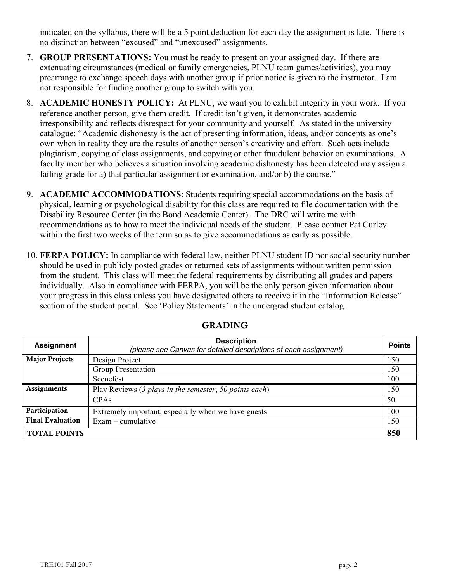indicated on the syllabus, there will be a 5 point deduction for each day the assignment is late. There is no distinction between "excused" and "unexcused" assignments.

- 7. **GROUP PRESENTATIONS:** You must be ready to present on your assigned day. If there are extenuating circumstances (medical or family emergencies, PLNU team games/activities), you may prearrange to exchange speech days with another group if prior notice is given to the instructor. I am not responsible for finding another group to switch with you.
- 8. **ACADEMIC HONESTY POLICY:** At PLNU, we want you to exhibit integrity in your work. If you reference another person, give them credit. If credit isn't given, it demonstrates academic irresponsibility and reflects disrespect for your community and yourself. As stated in the university catalogue: "Academic dishonesty is the act of presenting information, ideas, and/or concepts as one's own when in reality they are the results of another person's creativity and effort. Such acts include plagiarism, copying of class assignments, and copying or other fraudulent behavior on examinations. A faculty member who believes a situation involving academic dishonesty has been detected may assign a failing grade for a) that particular assignment or examination, and/or b) the course."
- 9. **ACADEMIC ACCOMMODATIONS**: Students requiring special accommodations on the basis of physical, learning or psychological disability for this class are required to file documentation with the Disability Resource Center (in the Bond Academic Center). The DRC will write me with recommendations as to how to meet the individual needs of the student. Please contact Pat Curley within the first two weeks of the term so as to give accommodations as early as possible.
- 10. **FERPA POLICY:** In compliance with federal law, neither PLNU student ID nor social security number should be used in publicly posted grades or returned sets of assignments without written permission from the student. This class will meet the federal requirements by distributing all grades and papers individually. Also in compliance with FERPA, you will be the only person given information about your progress in this class unless you have designated others to receive it in the "Information Release" section of the student portal. See 'Policy Statements' in the undergrad student catalog.

| <b>Assignment</b>       | <b>Description</b><br>(please see Canvas for detailed descriptions of each assignment) |     |
|-------------------------|----------------------------------------------------------------------------------------|-----|
| <b>Major Projects</b>   | Design Project                                                                         | 150 |
|                         | Group Presentation                                                                     | 150 |
|                         | Scenefest                                                                              | 100 |
| Assignments             | Play Reviews (3 plays in the semester, 50 points each)                                 | 150 |
|                         | CPAs                                                                                   | 50  |
| Participation           | Extremely important, especially when we have guests                                    | 100 |
| <b>Final Evaluation</b> | $Exam$ – cumulative                                                                    | 150 |
| <b>TOTAL POINTS</b>     |                                                                                        | 850 |

# GRADING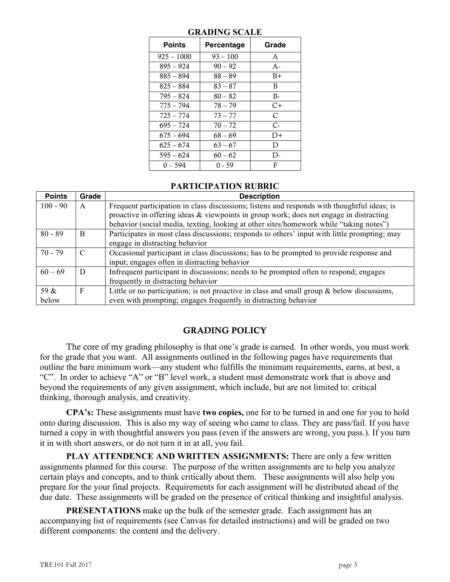| <b>Points</b> | Percentage | Grade |
|---------------|------------|-------|
| $925 - 1000$  | $93 - 100$ | A     |
| $895 - 924$   | $90 - 92$  | $A -$ |
| $885 - 894$   | $88 - 89$  | $B+$  |
| $825 - 884$   | $83 - 87$  | B     |
| $795 - 824$   | $80 - 82$  | $B -$ |
| 775 – 794     | 78 – 79    | $C+$  |
| $725 - 774$   | $73 - 77$  | C     |
| $695 - 724$   | $70 - 72$  | $C-$  |
| $675 - 694$   | $68 - 69$  | $D+$  |
| $625 - 674$   | $63 - 67$  | D     |
| $595 - 624$   | $60 - 62$  | D-    |
| $0 - 594$     | $0 - 59$   | F     |

### **GRADING SCALE**

#### **PARTICIPATION RUBRIC**

| <b>Points</b> | Grade | <b>Description</b>                                                                            |  |
|---------------|-------|-----------------------------------------------------------------------------------------------|--|
| $100 - 90$    | A     | Frequent participation in class discussions; listens and responds with thoughtful ideas; is   |  |
|               |       | proactive in offering ideas & viewpoints in group work; does not engage in distracting        |  |
|               |       | behavior (social media, texting, looking at other sites/homework while "taking notes")        |  |
| $80 - 89$     | B     | Participates in most class discussions; responds to others' input with little prompting; may  |  |
|               |       | engage in distracting behavior                                                                |  |
| $70 - 79$     | C     | Occasional participant in class discussions; has to be prompted to provide response and       |  |
|               |       | input; engages often in distracting behavior                                                  |  |
| $60 - 69$     | D     | Infrequent participant in discussions; needs to be prompted often to respond; engages         |  |
|               |       | frequently in distracting behavior                                                            |  |
| 59 &          | F     | Little or no participation; is not proactive in class and small group $\&$ below discussions, |  |
| below         |       | even with prompting; engages frequently in distracting behavior                               |  |

# GRADING POLICY

The core of my grading philosophy is that one's grade is earned. In other words, you must work for the grade that you want. All assignments outlined in the following pages have requirements that outline the bare minimum work—any student who fulfills the minimum requirements, earns, at best, a "C". In order to achieve "A" or "B" level work, a student must demonstrate work that is above and beyond the requirements of any given assignment, which include, but are not limited to: critical thinking, thorough analysis, and creativity.

**CPA's:** These assignments must have **two copies,** one for to be turned in and one for you to hold onto during discussion. This is also my way of seeing who came to class. They are pass/fail. If you have turned a copy in with thoughtful answers you pass (even if the answers are wrong, you pass.). If you turn it in with short answers, or do not turn it in at all, you fail.

**PLAY ATTENDENCE AND WRITTEN ASSIGNMENTS:** There are only a few written assignments planned for this course. The purpose of the written assignments are to help you analyze certain plays and concepts, and to think critically about them. These assignments will also help you prepare for the your final projects. Requirements for each assignment will be distributed ahead of the due date. These assignments will be graded on the presence of critical thinking and insightful analysis.

**PRESENTATIONS** make up the bulk of the semester grade. Each assignment has an accompanying list of requirements (see Canvas for detailed instructions) and will be graded on two different components: the content and the delivery.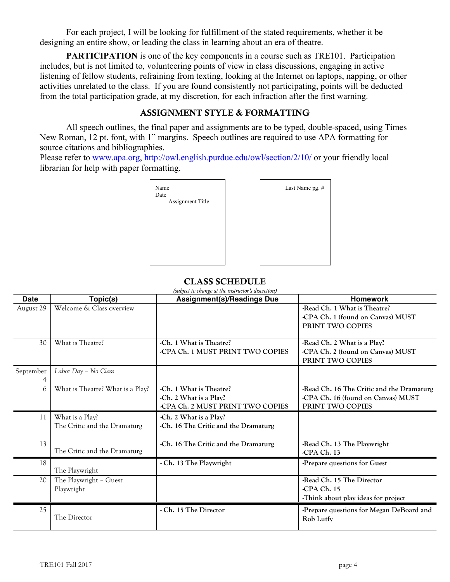For each project, I will be looking for fulfillment of the stated requirements, whether it be designing an entire show, or leading the class in learning about an era of theatre.

**PARTICIPATION** is one of the key components in a course such as TRE101. Participation includes, but is not limited to, volunteering points of view in class discussions, engaging in active listening of fellow students, refraining from texting, looking at the Internet on laptops, napping, or other activities unrelated to the class. If you are found consistently not participating, points will be deducted from the total participation grade, at my discretion, for each infraction after the first warning.

### ASSIGNMENT STYLE & FORMATTING

All speech outlines, the final paper and assignments are to be typed, double-spaced, using Times New Roman, 12 pt. font, with 1" margins. Speech outlines are required to use APA formatting for source citations and bibliographies.

Last Name pg. #

Please refer to www.apa.org, http://owl.english.purdue.edu/owl/section/2/10/ or your friendly local librarian for help with paper formatting.



### CLASS SCHEDULE

| (subject to change at the instructor's discretion) |                                                 |                                                                                       |                                                                                                     |
|----------------------------------------------------|-------------------------------------------------|---------------------------------------------------------------------------------------|-----------------------------------------------------------------------------------------------------|
| <b>Date</b>                                        | Topic(s)                                        | <b>Assignment(s)/Readings Due</b>                                                     | <b>Homework</b>                                                                                     |
| August 29                                          | Welcome & Class overview                        |                                                                                       | -Read Ch. 1 What is Theatre?<br>-CPA Ch. 1 (found on Canvas) MUST<br>PRINT TWO COPIES               |
| 30                                                 | What is Theatre?                                | -Ch. 1 What is Theatre?<br>-CPA Ch. 1 MUST PRINT TWO COPIES                           | -Read Ch. 2 What is a Play?<br>-CPA Ch. 2 (found on Canvas) MUST<br>PRINT TWO COPIES                |
| September                                          | Labor Day - No Class                            |                                                                                       |                                                                                                     |
| 6                                                  | What is Theatre? What is a Play?                | -Ch. 1 What is Theatre?<br>-Ch. 2 What is a Play?<br>-CPA Ch. 2 MUST PRINT TWO COPIES | -Read Ch. 16 The Critic and the Dramaturg<br>-CPA Ch. 16 (found on Canvas) MUST<br>PRINT TWO COPIES |
| 11                                                 | What is a Play?<br>The Critic and the Dramaturg | -Ch. 2 What is a Play?<br>-Ch. 16 The Critic and the Dramaturg                        |                                                                                                     |
| 13                                                 | The Critic and the Dramaturg                    | -Ch. 16 The Critic and the Dramaturg                                                  | -Read Ch. 13 The Playwright<br>-CPA Ch. 13                                                          |
| 18                                                 | The Playwright                                  | - Ch. 13 The Playwright                                                               | -Prepare questions for Guest                                                                        |
| 20                                                 | The Playwright - Guest<br>Playwright            |                                                                                       | -Read Ch. 15 The Director<br>-CPA Ch. 15<br>-Think about play ideas for project                     |
| 25                                                 | The Director                                    | - Ch. 15 The Director                                                                 | -Prepare questions for Megan DeBoard and<br>Rob Lutfy                                               |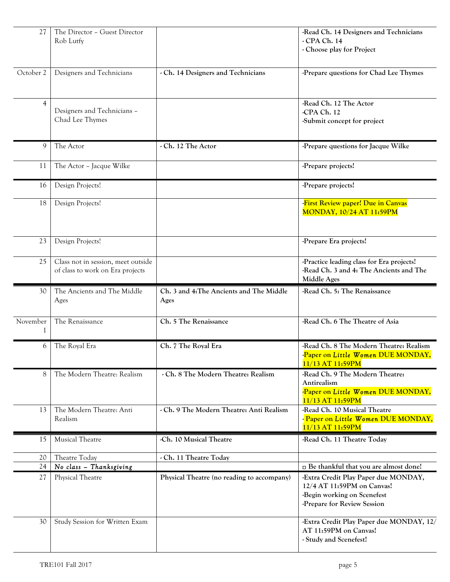| 27             | The Director - Guest Director<br>Rob Lutfy                             |                                                  | -Read Ch. 14 Designers and Technicians<br>- CPA Ch. 14                                                                           |
|----------------|------------------------------------------------------------------------|--------------------------------------------------|----------------------------------------------------------------------------------------------------------------------------------|
|                |                                                                        |                                                  | - Choose play for Project                                                                                                        |
| October 2      | Designers and Technicians                                              | - Ch. 14 Designers and Technicians               | -Prepare questions for Chad Lee Thymes                                                                                           |
| $\overline{4}$ | Designers and Technicians -<br>Chad Lee Thymes                         |                                                  | -Read Ch. 12 The Actor<br>-CPA Ch. 12<br>-Submit concept for project                                                             |
| 9              | The Actor                                                              | - Ch. 12 The Actor                               | -Prepare questions for Jacque Wilke                                                                                              |
| 11             | The Actor - Jacque Wilke                                               |                                                  | -Prepare projects!                                                                                                               |
| 16             | Design Projects!                                                       |                                                  | -Prepare projects!                                                                                                               |
| 18             | Design Projects!                                                       |                                                  | First Review paper! Due in Canvas<br><b>MONDAY, 10/24 AT 11:59PM</b>                                                             |
| 23             | Design Projects!                                                       |                                                  | -Prepare Era projects!                                                                                                           |
| 25             | Class not in session, meet outside<br>of class to work on Era projects |                                                  | -Practice leading class for Era projects!<br>-Read Ch. 3 and 4: The Ancients and The<br>Middle Ages                              |
| 30             | The Ancients and The Middle<br>Ages                                    | Ch. 3 and 4: The Ancients and The Middle<br>Ages | -Read Ch. 5: The Renaissance                                                                                                     |
| November       | The Renaissance                                                        | Ch. 5 The Renaissance                            | -Read Ch. 6 The Theatre of Asia                                                                                                  |
| 6              | The Royal Era                                                          | Ch. 7 The Royal Era                              | -Read Ch. 8 The Modern Theatre: Realism<br>Paper on Little Women DUE MONDAY,<br>11/13 AT 11:59PM                                 |
| 8              | The Modern Theatre: Realism                                            | - Ch. 8 The Modern Theatre: Realism              | -Read Ch. 9 The Modern Theatre:<br>Antirealism<br>Paper on Little Women DUE MONDAY,<br>11/13 AT 11:59PM                          |
| 13             | The Modern Theatre: Anti<br>Realism                                    | - Ch. 9 The Modern Theatre: Anti Realism         | -Read Ch. 10 Musical Theatre<br>- Paper on Little Women DUE MONDAY,<br>11/13 AT 11:59PM                                          |
| 15             | Musical Theatre                                                        | -Ch. 10 Musical Theatre                          | -Read Ch. 11 Theatre Today                                                                                                       |
| 20             | Theatre Today                                                          | - Ch. 11 Theatre Today                           |                                                                                                                                  |
| 24             | No class - Thanksgiving                                                |                                                  | □ Be thankful that you are almost done!                                                                                          |
| 27             | Physical Theatre                                                       | Physical Theatre (no reading to accompany)       | -Extra Credit Play Paper due MONDAY,<br>12/4 AT 11:59PM on Canvas!<br>-Begin working on Scenefest<br>-Prepare for Review Session |
| 30             | Study Session for Written Exam                                         |                                                  | -Extra Credit Play Paper due MONDAY, 12/<br>AT 11:59PM on Canvas!<br>- Study and Scenefest!                                      |